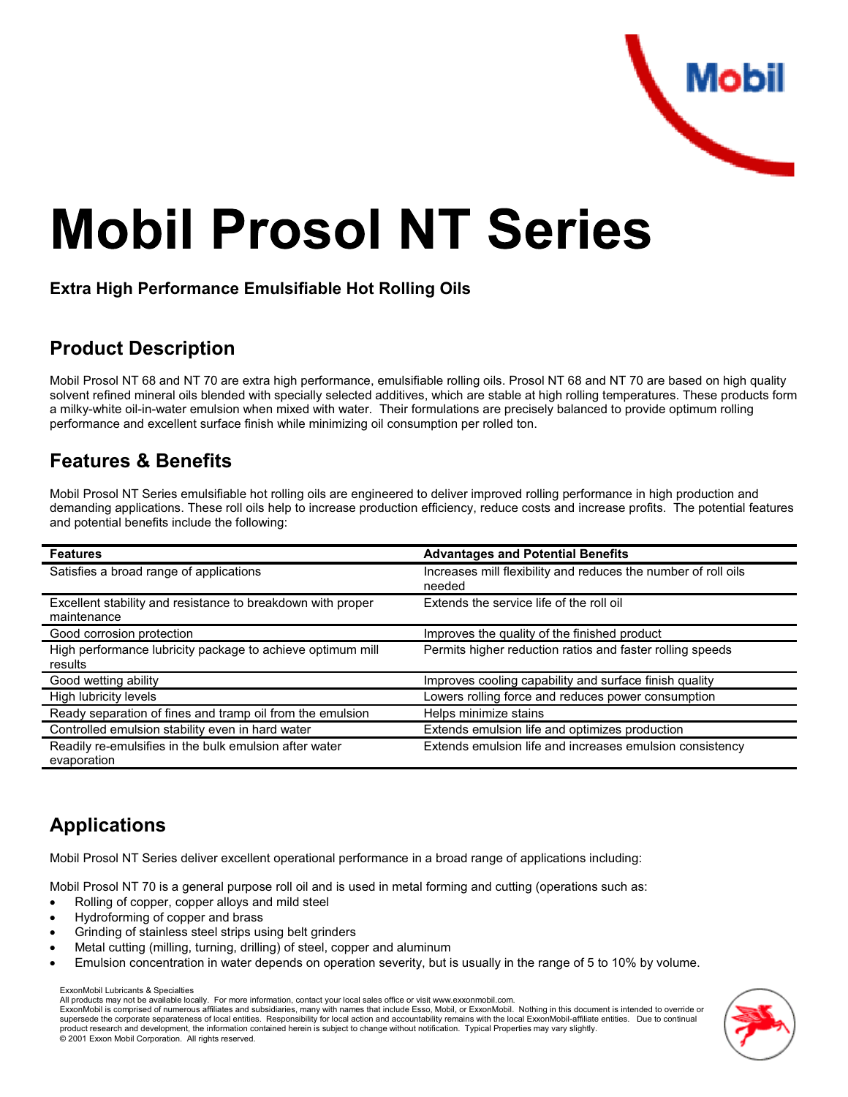

# **Mobil Prosol NT Series**

#### **Extra High Performance Emulsifiable Hot Rolling Oils**

#### **Product Description**

Mobil Prosol NT 68 and NT 70 are extra high performance, emulsifiable rolling oils. Prosol NT 68 and NT 70 are based on high quality solvent refined mineral oils blended with specially selected additives, which are stable at high rolling temperatures. These products forma milky-white oil-in-water emulsion when mixed with water. Their formulations are precisely balanced to provide optimum rollingperformance and excellent surface finish while minimizing oil consumption per rolled ton.

### **Features & Benefits**

Mobil Prosol NT Series emulsifiable hot rolling oils are engineered to deliver improved rolling performance in high production and demanding applications. These roll oils help to increase production efficiency, reduce costs and increase profits. The potential featuresand potential benefits include the following:

| <b>Features</b>                                                            | <b>Advantages and Potential Benefits</b>                                 |  |  |
|----------------------------------------------------------------------------|--------------------------------------------------------------------------|--|--|
| Satisfies a broad range of applications                                    | Increases mill flexibility and reduces the number of roll oils<br>needed |  |  |
| Excellent stability and resistance to breakdown with proper<br>maintenance | Extends the service life of the roll oil                                 |  |  |
| Good corrosion protection                                                  | Improves the quality of the finished product                             |  |  |
| High performance lubricity package to achieve optimum mill<br>results      | Permits higher reduction ratios and faster rolling speeds                |  |  |
| Good wetting ability                                                       | Improves cooling capability and surface finish quality                   |  |  |
| High lubricity levels                                                      | Lowers rolling force and reduces power consumption                       |  |  |
| Ready separation of fines and tramp oil from the emulsion                  | Helps minimize stains                                                    |  |  |
| Controlled emulsion stability even in hard water                           | Extends emulsion life and optimizes production                           |  |  |
| Readily re-emulsifies in the bulk emulsion after water<br>evaporation      | Extends emulsion life and increases emulsion consistency                 |  |  |

# **Applications**

Mobil Prosol NT Series deliver excellent operational performance in a broad range of applications including:

Mobil Prosol NT 70 is a general purpose roll oil and is used in metal forming and cutting (operations such as:

- Rolling of copper, copper alloys and mild steel
- Hydroforming of copper and brass
- Grinding of stainless steel strips using belt grinders
- Metal cutting (milling, turning, drilling) of steel, copper and aluminum
- Emulsion concentration in water depends on operation severity, but is usually in the range of 5 to 10% by volume.

ExxonMobil Lubricants & Specialties

 ExxonMobil is comprised of numerous affiliates and subsidiaries, many with names that include Esso, Mobil, or ExxonMobil. Nothing in this document is intended to override orsupersede the corporate separateness of local entities. Responsibility for local action and accountability remains with the local ExxonMobil-affiliate entities. Due to continual product research and development, the information contained herein is subject to change without notification. Typical Properties may vary slightly.© 2001 Exxon Mobil Corporation. All rights reserved.



All products may not be available locally. For more information, contact your local sales office or visit www.exxonmobil.com.